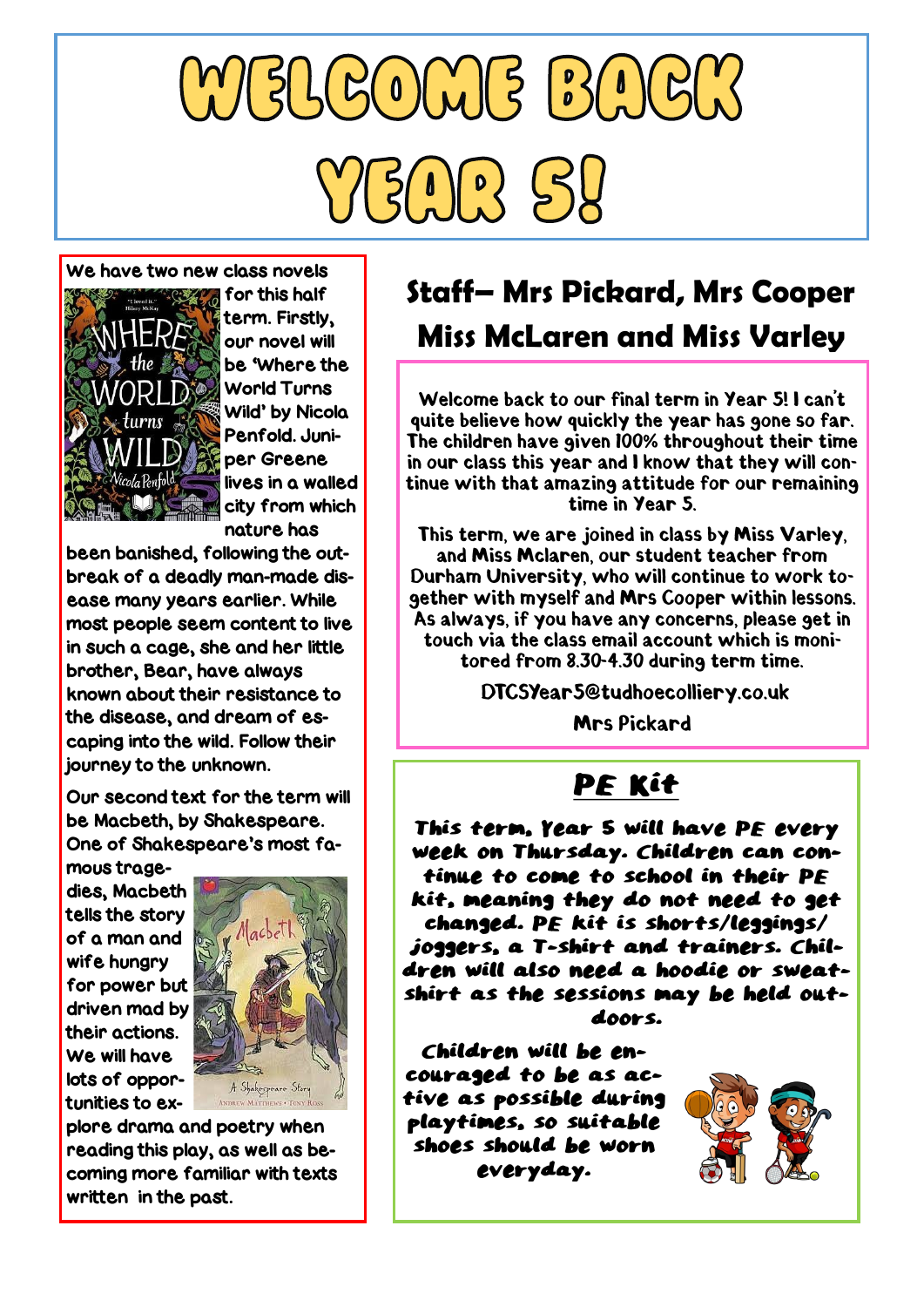# $M5160 M5 B16$  $5(1)(2)$

#### We have two new class novels



for this half term. Firstly, our novel will be 'Where the World Turns Wild' by Nicola Penfold. Juniper Greene lives in a walled city from which nature has

been banished, following the outbreak of a deadly man-made disease many years earlier. While most people seem content to live in such a cage, she and her little brother, Bear, have always known about their resistance to the disease, and dream of escaping into the wild. Follow their journey to the unknown.

Our second text for the term will be Macbeth, by Shakespeare. One of Shakespeare's most famous trage-

dies, Macbeth tells the story of a man and wife hungry for power but driven mad by their actions. We will have lots of opportunities to ex-



plore drama and poetry when reading this play, as well as becoming more familiar with texts written in the past.

## **Staff– Mrs Pickard, Mrs Cooper Miss McLaren and Miss Varley**

Welcome back to our final term in Year 5! I can't quite believe how quickly the year has gone so far. The children have given 100% throughout their time in our class this year and I know that they will continue with that amazing attitude for our remaining time in Year 5.

This term, we are joined in class by Miss Varley, and Miss Mclaren. our student teacher from Durham University, who will continue to work together with myself and Mrs Cooper within lessons. As always, if you have any concerns, please get in touch via the class email account which is monitored from 8.30-4.30 during term time.

DTCSYear5@tudhoecolliery.co.uk

**Mrs Pickard** 

### PE Kit

This term, Year 5 will have PE every week on Thursday. Children can continue to come to school in their PE kit, meaning they do not need to get changed. PE kit is shorts/leggings/ joggers, a T-shirt and trainers. Children will also need a hoodie or sweatshirt as the sessions may be held outdoors.

Children will be encouraged to be as active as possible during playtimes, so suitable shoes should be worn everyday.